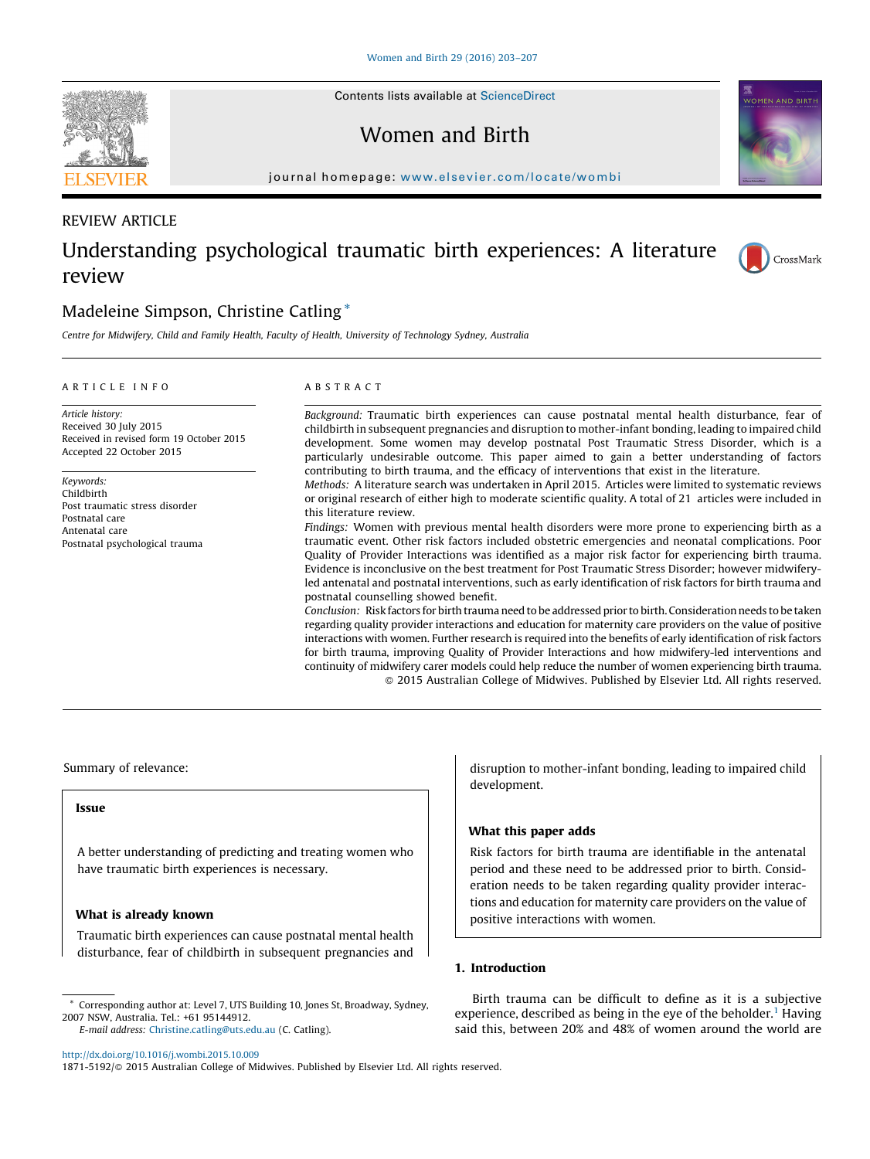Contents lists available at [ScienceDirect](http://www.sciencedirect.com/science/journal/18715192)

# Women and Birth

journal homepage: <www.elsevier.com/locate/wombi>

## REVIEW ARTICLE

# Understanding psychological traumatic birth experiences: A literature review

## Madeleine Simpson, Christine Catling \*

Centre for Midwifery, Child and Family Health, Faculty of Health, University of Technology Sydney, Australia

## A R T I C L E I N F O

Accepted 22 October 2015

Post traumatic stress disorder

Postnatal psychological trauma

Received in revised form 19 October 2015

Article history: Received 30 July 2015

Keywords: Childbirth

Postnatal care Antenatal care

## A B S T R A C T

Background: Traumatic birth experiences can cause postnatal mental health disturbance, fear of childbirth in subsequent pregnancies and disruption to mother-infant bonding, leading to impaired child development. Some women may develop postnatal Post Traumatic Stress Disorder, which is a particularly undesirable outcome. This paper aimed to gain a better understanding of factors contributing to birth trauma, and the efficacy of interventions that exist in the literature.

Methods: A literature search was undertaken in April 2015. Articles were limited to systematic reviews or original research of either high to moderate scientific quality. A total of 21 articles were included in this literature review.

Findings: Women with previous mental health disorders were more prone to experiencing birth as a traumatic event. Other risk factors included obstetric emergencies and neonatal complications. Poor Quality of Provider Interactions was identified as a major risk factor for experiencing birth trauma. Evidence is inconclusive on the best treatment for Post Traumatic Stress Disorder; however midwiferyled antenatal and postnatal interventions, such as early identification of risk factors for birth trauma and postnatal counselling showed benefit.

Conclusion: Risk factors for birth trauma need to be addressed prior to birth. Consideration needs to be taken regarding quality provider interactions and education for maternity care providers on the value of positive interactions with women. Further research is required into the benefits of early identification of risk factors for birth trauma, improving Quality of Provider Interactions and how midwifery-led interventions and continuity of midwifery carer models could help reduce the number of women experiencing birth trauma.  $\odot$  2015 Australian College of Midwives. Published by Elsevier Ltd. All rights reserved.

## Summary of relevance:

## Issue

A better understanding of predicting and treating women who have traumatic birth experiences is necessary.

## What is already known

Traumatic birth experiences can cause postnatal mental health disturbance, fear of childbirth in subsequent pregnancies and

\* Corresponding author at: Level 7, UTS Building 10, Jones St, Broadway, Sydney, 2007 NSW, Australia. Tel.: +61 95144912. E-mail address: [Christine.catling@uts.edu.au](mailto:Christine.catling@uts.edu.au) (C. Catling).

<http://dx.doi.org/10.1016/j.wombi.2015.10.009>

1871-5192/© 2015 Australian College of Midwives. Published by Elsevier Ltd. All rights reserved.

disruption to mother-infant bonding, leading to impaired child development.

## What this paper adds

Risk factors for birth trauma are identifiable in the antenatal period and these need to be addressed prior to birth. Consideration needs to be taken regarding quality provider interactions and education for maternity care providers on the value of positive interactions with women.

## 1. Introduction

Birth trauma can be difficult to define as it is a subjective experience, described as being in the eye of the beholder.<sup>[1](#page-4-0)</sup> Having said this, between 20% and 48% of women around the world are





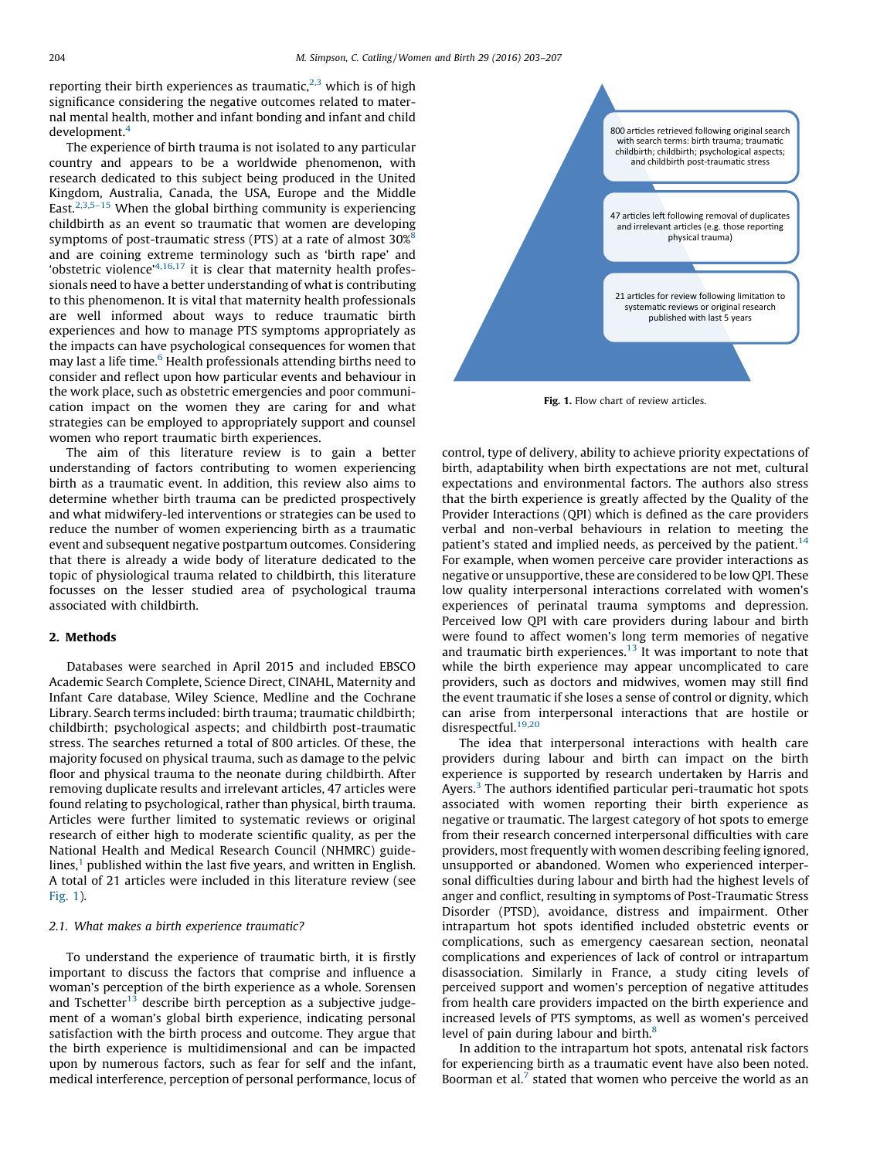reporting their birth experiences as traumatic, $2,3$  which is of high significance considering the negative outcomes related to maternal mental health, mother and infant bonding and infant and child development.[4](#page-4-0)

The experience of birth trauma is not isolated to any particular country and appears to be a worldwide phenomenon, with research dedicated to this subject being produced in the United Kingdom, Australia, Canada, the USA, Europe and the Middle East.<sup>[2,3,5–15](#page-4-0)</sup> When the global birthing community is experiencing childbirth as an event so traumatic that women are developing symptoms of post-traumatic stress (PTS) at a rate of almost  $30\%^8$ and are coining extreme terminology such as 'birth rape' and 'obstetric violence'<sup>4,16,17</sup> it is clear that maternity health professionals need to have a better understanding of what is contributing to this phenomenon. It is vital that maternity health professionals are well informed about ways to reduce traumatic birth experiences and how to manage PTS symptoms appropriately as the impacts can have psychological consequences for women that may last a life time.<sup>[6](#page-4-0)</sup> Health professionals attending births need to consider and reflect upon how particular events and behaviour in the work place, such as obstetric emergencies and poor communication impact on the women they are caring for and what strategies can be employed to appropriately support and counsel women who report traumatic birth experiences.

The aim of this literature review is to gain a better understanding of factors contributing to women experiencing birth as a traumatic event. In addition, this review also aims to determine whether birth trauma can be predicted prospectively and what midwifery-led interventions or strategies can be used to reduce the number of women experiencing birth as a traumatic event and subsequent negative postpartum outcomes. Considering that there is already a wide body of literature dedicated to the topic of physiological trauma related to childbirth, this literature focusses on the lesser studied area of psychological trauma associated with childbirth.

## 2. Methods

Databases were searched in April 2015 and included EBSCO Academic Search Complete, Science Direct, CINAHL, Maternity and Infant Care database, Wiley Science, Medline and the Cochrane Library. Search terms included: birth trauma; traumatic childbirth; childbirth; psychological aspects; and childbirth post-traumatic stress. The searches returned a total of 800 articles. Of these, the majority focused on physical trauma, such as damage to the pelvic floor and physical trauma to the neonate during childbirth. After removing duplicate results and irrelevant articles, 47 articles were found relating to psychological, rather than physical, birth trauma. Articles were further limited to systematic reviews or original research of either high to moderate scientific quality, as per the National Health and Medical Research Council (NHMRC) guidelines, $<sup>1</sup>$  $<sup>1</sup>$  $<sup>1</sup>$  published within the last five years, and written in English.</sup> A total of 21 articles were included in this literature review (see Fig. 1).

#### 2.1. What makes a birth experience traumatic?

To understand the experience of traumatic birth, it is firstly important to discuss the factors that comprise and influence a woman's perception of the birth experience as a whole. Sorensen and Tschetter<sup>[13](#page-4-0)</sup> describe birth perception as a subjective judgement of a woman's global birth experience, indicating personal satisfaction with the birth process and outcome. They argue that the birth experience is multidimensional and can be impacted upon by numerous factors, such as fear for self and the infant, medical interference, perception of personal performance, locus of



Fig. 1. Flow chart of review articles.

control, type of delivery, ability to achieve priority expectations of birth, adaptability when birth expectations are not met, cultural expectations and environmental factors. The authors also stress that the birth experience is greatly affected by the Quality of the Provider Interactions (QPI) which is defined as the care providers verbal and non-verbal behaviours in relation to meeting the patient's stated and implied needs, as perceived by the patient.<sup>[14](#page-4-0)</sup> For example, when women perceive care provider interactions as negative or unsupportive, these are considered to be low QPI. These low quality interpersonal interactions correlated with women's experiences of perinatal trauma symptoms and depression. Perceived low QPI with care providers during labour and birth were found to affect women's long term memories of negative and traumatic birth experiences.<sup>13</sup> It was important to note that while the birth experience may appear uncomplicated to care providers, such as doctors and midwives, women may still find the event traumatic if she loses a sense of control or dignity, which can arise from interpersonal interactions that are hostile or disrespectful.<sup>[19,20](#page-4-0)</sup>

The idea that interpersonal interactions with health care providers during labour and birth can impact on the birth experience is supported by research undertaken by Harris and Ayers. $3$  The authors identified particular peri-traumatic hot spots associated with women reporting their birth experience as negative or traumatic. The largest category of hot spots to emerge from their research concerned interpersonal difficulties with care providers, most frequently with women describing feeling ignored, unsupported or abandoned. Women who experienced interpersonal difficulties during labour and birth had the highest levels of anger and conflict, resulting in symptoms of Post-Traumatic Stress Disorder (PTSD), avoidance, distress and impairment. Other intrapartum hot spots identified included obstetric events or complications, such as emergency caesarean section, neonatal complications and experiences of lack of control or intrapartum disassociation. Similarly in France, a study citing levels of perceived support and women's perception of negative attitudes from health care providers impacted on the birth experience and increased levels of PTS symptoms, as well as women's perceived level of pain during labour and birth.<sup>[8](#page-4-0)</sup>

In addition to the intrapartum hot spots, antenatal risk factors for experiencing birth as a traumatic event have also been noted. Boorman et al. $<sup>7</sup>$  $<sup>7</sup>$  $<sup>7</sup>$  stated that women who perceive the world as an</sup>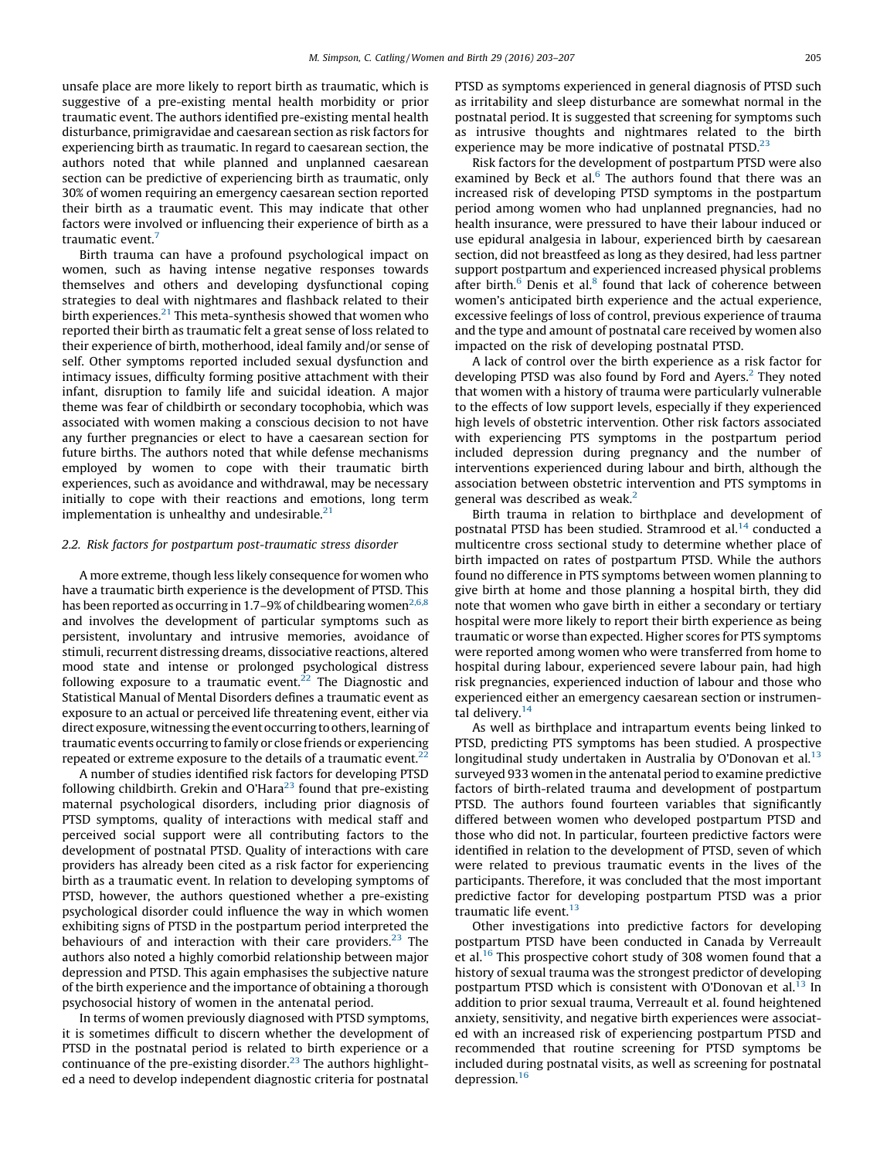unsafe place are more likely to report birth as traumatic, which is suggestive of a pre-existing mental health morbidity or prior traumatic event. The authors identified pre-existing mental health disturbance, primigravidae and caesarean section as risk factors for experiencing birth as traumatic. In regard to caesarean section, the authors noted that while planned and unplanned caesarean section can be predictive of experiencing birth as traumatic, only 30% of women requiring an emergency caesarean section reported their birth as a traumatic event. This may indicate that other factors were involved or influencing their experience of birth as a traumatic event.<sup>[7](#page-4-0)</sup>

Birth trauma can have a profound psychological impact on women, such as having intense negative responses towards themselves and others and developing dysfunctional coping strategies to deal with nightmares and flashback related to their birth experiences.<sup>21</sup> This meta-synthesis showed that women who reported their birth as traumatic felt a great sense of loss related to their experience of birth, motherhood, ideal family and/or sense of self. Other symptoms reported included sexual dysfunction and intimacy issues, difficulty forming positive attachment with their infant, disruption to family life and suicidal ideation. A major theme was fear of childbirth or secondary tocophobia, which was associated with women making a conscious decision to not have any further pregnancies or elect to have a caesarean section for future births. The authors noted that while defense mechanisms employed by women to cope with their traumatic birth experiences, such as avoidance and withdrawal, may be necessary initially to cope with their reactions and emotions, long term implementation is unhealthy and undesirable. $21$ 

#### 2.2. Risk factors for postpartum post-traumatic stress disorder

A more extreme, though less likely consequence for women who have a traumatic birth experience is the development of PTSD. This has been reported as occurring in 1.7–9% of childbearing women<sup>2,6,8</sup> and involves the development of particular symptoms such as persistent, involuntary and intrusive memories, avoidance of stimuli, recurrent distressing dreams, dissociative reactions, altered mood state and intense or prolonged psychological distress following exposure to a traumatic event.<sup>[22](#page-4-0)</sup> The Diagnostic and Statistical Manual of Mental Disorders defines a traumatic event as exposure to an actual or perceived life threatening event, either via direct exposure, witnessing the event occurring to others, learning of traumatic events occurring to family or close friends or experiencing repeated or extreme exposure to the details of a traumatic event.<sup>22</sup>

A number of studies identified risk factors for developing PTSD following childbirth. Grekin and O'Hara $^{23}$  $^{23}$  $^{23}$  found that pre-existing maternal psychological disorders, including prior diagnosis of PTSD symptoms, quality of interactions with medical staff and perceived social support were all contributing factors to the development of postnatal PTSD. Quality of interactions with care providers has already been cited as a risk factor for experiencing birth as a traumatic event. In relation to developing symptoms of PTSD, however, the authors questioned whether a pre-existing psychological disorder could influence the way in which women exhibiting signs of PTSD in the postpartum period interpreted the behaviours of and interaction with their care providers. $23$  The authors also noted a highly comorbid relationship between major depression and PTSD. This again emphasises the subjective nature of the birth experience and the importance of obtaining a thorough psychosocial history of women in the antenatal period.

In terms of women previously diagnosed with PTSD symptoms, it is sometimes difficult to discern whether the development of PTSD in the postnatal period is related to birth experience or a continuance of the pre-existing disorder.<sup>[23](#page-4-0)</sup> The authors highlighted a need to develop independent diagnostic criteria for postnatal PTSD as symptoms experienced in general diagnosis of PTSD such as irritability and sleep disturbance are somewhat normal in the postnatal period. It is suggested that screening for symptoms such as intrusive thoughts and nightmares related to the birth experience may be more indicative of postnatal PTSD.<sup>23</sup>

Risk factors for the development of postpartum PTSD were also examined by Beck et al. $6$  The authors found that there was an increased risk of developing PTSD symptoms in the postpartum period among women who had unplanned pregnancies, had no health insurance, were pressured to have their labour induced or use epidural analgesia in labour, experienced birth by caesarean section, did not breastfeed as long as they desired, had less partner support postpartum and experienced increased physical problems after birth. $6$  Denis et al. $8$  found that lack of coherence between women's anticipated birth experience and the actual experience, excessive feelings of loss of control, previous experience of trauma and the type and amount of postnatal care received by women also impacted on the risk of developing postnatal PTSD.

A lack of control over the birth experience as a risk factor for developing PTSD was also found by Ford and Ayers. $<sup>2</sup>$  $<sup>2</sup>$  $<sup>2</sup>$  They noted</sup> that women with a history of trauma were particularly vulnerable to the effects of low support levels, especially if they experienced high levels of obstetric intervention. Other risk factors associated with experiencing PTS symptoms in the postpartum period included depression during pregnancy and the number of interventions experienced during labour and birth, although the association between obstetric intervention and PTS symptoms in general was described as weak.<sup>[2](#page-4-0)</sup>

Birth trauma in relation to birthplace and development of postnatal PTSD has been studied. Stramrood et al.[14](#page-4-0) conducted a multicentre cross sectional study to determine whether place of birth impacted on rates of postpartum PTSD. While the authors found no difference in PTS symptoms between women planning to give birth at home and those planning a hospital birth, they did note that women who gave birth in either a secondary or tertiary hospital were more likely to report their birth experience as being traumatic or worse than expected. Higher scores for PTS symptoms were reported among women who were transferred from home to hospital during labour, experienced severe labour pain, had high risk pregnancies, experienced induction of labour and those who experienced either an emergency caesarean section or instrumental delivery. $14$ 

As well as birthplace and intrapartum events being linked to PTSD, predicting PTS symptoms has been studied. A prospective longitudinal study undertaken in Australia by O'Donovan et al. $^{13}$ surveyed 933 women in the antenatal period to examine predictive factors of birth-related trauma and development of postpartum PTSD. The authors found fourteen variables that significantly differed between women who developed postpartum PTSD and those who did not. In particular, fourteen predictive factors were identified in relation to the development of PTSD, seven of which were related to previous traumatic events in the lives of the participants. Therefore, it was concluded that the most important predictive factor for developing postpartum PTSD was a prior traumatic life event.<sup>[13](#page-4-0)</sup>

Other investigations into predictive factors for developing postpartum PTSD have been conducted in Canada by Verreault et al.<sup>16</sup> This prospective cohort study of 308 women found that a history of sexual trauma was the strongest predictor of developing postpartum PTSD which is consistent with O'Donovan et al.<sup>[13](#page-4-0)</sup> In addition to prior sexual trauma, Verreault et al. found heightened anxiety, sensitivity, and negative birth experiences were associated with an increased risk of experiencing postpartum PTSD and recommended that routine screening for PTSD symptoms be included during postnatal visits, as well as screening for postnatal depression.<sup>[16](#page-4-0)</sup>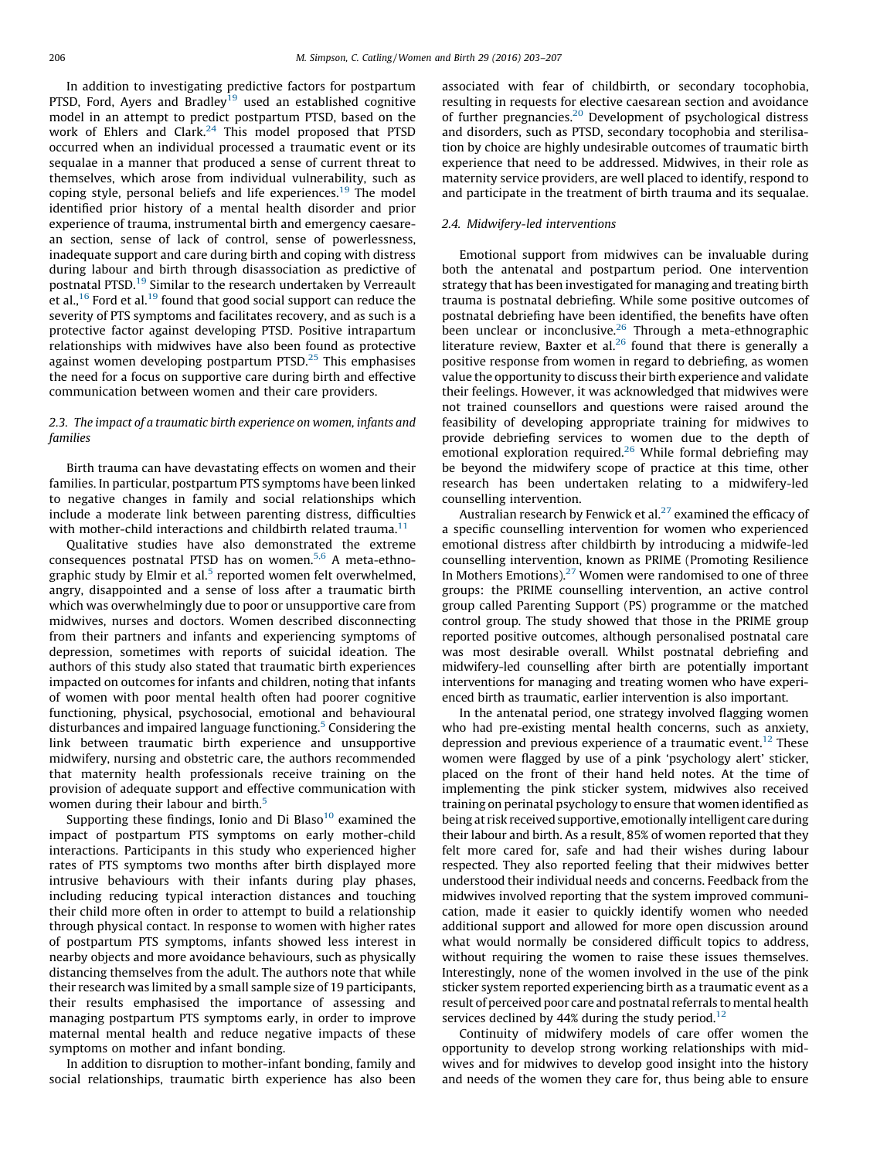In addition to investigating predictive factors for postpartum PTSD, Ford, Ayers and Bradley<sup>19</sup> used an established cognitive model in an attempt to predict postpartum PTSD, based on the work of Ehlers and Clark. $24$  This model proposed that PTSD occurred when an individual processed a traumatic event or its sequalae in a manner that produced a sense of current threat to themselves, which arose from individual vulnerability, such as coping style, personal beliefs and life experiences.<sup>[19](#page-4-0)</sup> The model identified prior history of a mental health disorder and prior experience of trauma, instrumental birth and emergency caesarean section, sense of lack of control, sense of powerlessness, inadequate support and care during birth and coping with distress during labour and birth through disassociation as predictive of postnatal PTSD.<sup>19</sup> Similar to the research undertaken by Verreault et al.,<sup>[16](#page-4-0)</sup> Ford et al.<sup>[19](#page-4-0)</sup> found that good social support can reduce the severity of PTS symptoms and facilitates recovery, and as such is a protective factor against developing PTSD. Positive intrapartum relationships with midwives have also been found as protective against women developing postpartum PTSD. $25$  This emphasises the need for a focus on supportive care during birth and effective communication between women and their care providers.

## 2.3. The impact of a traumatic birth experience on women, infants and families

Birth trauma can have devastating effects on women and their families. In particular, postpartum PTS symptoms have been linked to negative changes in family and social relationships which include a moderate link between parenting distress, difficulties with mother-child interactions and childbirth related trauma.<sup>11</sup>

Qualitative studies have also demonstrated the extreme consequences postnatal PTSD has on women. $5,6$  A meta-ethnographic study by Elmir et al. $<sup>5</sup>$  $<sup>5</sup>$  $<sup>5</sup>$  reported women felt overwhelmed,</sup> angry, disappointed and a sense of loss after a traumatic birth which was overwhelmingly due to poor or unsupportive care from midwives, nurses and doctors. Women described disconnecting from their partners and infants and experiencing symptoms of depression, sometimes with reports of suicidal ideation. The authors of this study also stated that traumatic birth experiences impacted on outcomes for infants and children, noting that infants of women with poor mental health often had poorer cognitive functioning, physical, psychosocial, emotional and behavioural disturbances and impaired language functioning.<sup>5</sup> Considering the link between traumatic birth experience and unsupportive midwifery, nursing and obstetric care, the authors recommended that maternity health professionals receive training on the provision of adequate support and effective communication with women during their labour and birth.<sup>[5](#page-4-0)</sup>

Supporting these findings, Ionio and Di Blaso $10$  examined the impact of postpartum PTS symptoms on early mother-child interactions. Participants in this study who experienced higher rates of PTS symptoms two months after birth displayed more intrusive behaviours with their infants during play phases, including reducing typical interaction distances and touching their child more often in order to attempt to build a relationship through physical contact. In response to women with higher rates of postpartum PTS symptoms, infants showed less interest in nearby objects and more avoidance behaviours, such as physically distancing themselves from the adult. The authors note that while their research was limited by a small sample size of 19 participants, their results emphasised the importance of assessing and managing postpartum PTS symptoms early, in order to improve maternal mental health and reduce negative impacts of these symptoms on mother and infant bonding.

In addition to disruption to mother-infant bonding, family and social relationships, traumatic birth experience has also been associated with fear of childbirth, or secondary tocophobia, resulting in requests for elective caesarean section and avoidance of further pregnancies[.20](#page-4-0) Development of psychological distress and disorders, such as PTSD, secondary tocophobia and sterilisation by choice are highly undesirable outcomes of traumatic birth experience that need to be addressed. Midwives, in their role as maternity service providers, are well placed to identify, respond to and participate in the treatment of birth trauma and its sequalae.

#### 2.4. Midwifery-led interventions

Emotional support from midwives can be invaluable during both the antenatal and postpartum period. One intervention strategy that has been investigated for managing and treating birth trauma is postnatal debriefing. While some positive outcomes of postnatal debriefing have been identified, the benefits have often been unclear or inconclusive.<sup>[26](#page-4-0)</sup> Through a meta-ethnographic literature review, Baxter et al.<sup>[26](#page-4-0)</sup> found that there is generally a positive response from women in regard to debriefing, as women value the opportunity to discuss their birth experience and validate their feelings. However, it was acknowledged that midwives were not trained counsellors and questions were raised around the feasibility of developing appropriate training for midwives to provide debriefing services to women due to the depth of emotional exploration required.<sup>[26](#page-4-0)</sup> While formal debriefing may be beyond the midwifery scope of practice at this time, other research has been undertaken relating to a midwifery-led counselling intervention.

Australian research by Fenwick et al. $27$  examined the efficacy of a specific counselling intervention for women who experienced emotional distress after childbirth by introducing a midwife-led counselling intervention, known as PRIME (Promoting Resilience In Mothers Emotions).<sup>27</sup> Women were randomised to one of three groups: the PRIME counselling intervention, an active control group called Parenting Support (PS) programme or the matched control group. The study showed that those in the PRIME group reported positive outcomes, although personalised postnatal care was most desirable overall. Whilst postnatal debriefing and midwifery-led counselling after birth are potentially important interventions for managing and treating women who have experienced birth as traumatic, earlier intervention is also important.

In the antenatal period, one strategy involved flagging women who had pre-existing mental health concerns, such as anxiety, depression and previous experience of a traumatic event.<sup>12</sup> These women were flagged by use of a pink 'psychology alert' sticker, placed on the front of their hand held notes. At the time of implementing the pink sticker system, midwives also received training on perinatal psychology to ensure that women identified as being at risk received supportive, emotionally intelligent careduring their labour and birth. As a result, 85% of women reported that they felt more cared for, safe and had their wishes during labour respected. They also reported feeling that their midwives better understood their individual needs and concerns. Feedback from the midwives involved reporting that the system improved communication, made it easier to quickly identify women who needed additional support and allowed for more open discussion around what would normally be considered difficult topics to address, without requiring the women to raise these issues themselves. Interestingly, none of the women involved in the use of the pink sticker system reported experiencing birth as a traumatic event as a result of perceived poor care and postnatal referrals to mental health services declined by 44% during the study period.<sup>12</sup>

Continuity of midwifery models of care offer women the opportunity to develop strong working relationships with midwives and for midwives to develop good insight into the history and needs of the women they care for, thus being able to ensure